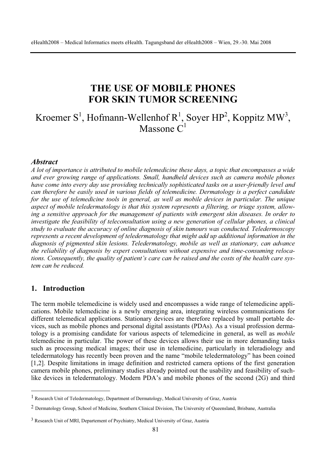# **THE USE OF MOBILE PHONES FOR SKIN TUMOR SCREENING**

Kroemer S<sup>1</sup>, Hofmann-Wellenhof R<sup>1</sup>, Soyer HP<sup>2</sup>, Koppitz MW<sup>3</sup>, Massone  $C<sup>1</sup>$ 

#### *Abstract*

*A lot of importance is attributed to mobile telemedicine these days, a topic that encompasses a wide and ever growing range of applications. Small, handheld devices such as camera mobile phones have come into every day use providing technically sophisticated tasks on a user-friendly level and can therefore be easily used in various fields of telemedicine. Dermatology is a perfect candidate for the use of telemedicine tools in general, as well as mobile devices in particular. The unique aspect of mobile teledermatology is that this system represents a filtering, or triage system, allowing a sensitive approach for the management of patients with emergent skin diseases. In order to investigate the feasibility of teleconsultation using a new generation of cellular phones, a clinical study to evaluate the accuracy of online diagnosis of skin tumours was conducted. Teledermoscopy represents a recent development of teledermatology that might add up additional information in the diagnosis of pigmented skin lesions. Teledermatology, mobile as well as stationary, can advance the reliability of diagnosis by expert consultations without expensive and time-consuming relocations. Consequently, the quality of patient's care can be raised and the costs of the health care system can be reduced.* 

#### **1. Introduction**

The term mobile telemedicine is widely used and encompasses a wide range of telemedicine applications. Mobile telemedicine is a newly emerging area, integrating wireless communications for different telemedical applications. Stationary devices are therefore replaced by small portable devices, such as mobile phones and personal digital assistants (PDAs). As a visual profession dermatology is a promising candidate for various aspects of telemedicine in general, as well as *mobile* telemedicine in particular. The power of these devices allows their use in more demanding tasks such as processing medical images; their use in telemedicine, particularly in teleradiology and teledermatology has recently been proven and the name "mobile teledermatology" has been coined [1,2]. Despite limitations in image definition and restricted camera options of the first generation camera mobile phones, preliminary studies already pointed out the usability and feasibility of suchlike devices in teledermatology. Modern PDA's and mobile phones of the second (2G) and third

<sup>1</sup> Research Unit of Teledermatology, Department of Dermatology, Medical University of Graz, Austria

<sup>2</sup> Dermatology Group, School of Medicine, Southern Clinical Division, The University of Queensland, Brisbane, Australia

<sup>3</sup> Research Unit of MRI, Departement of Psychiatry, Medical University of Graz, Austria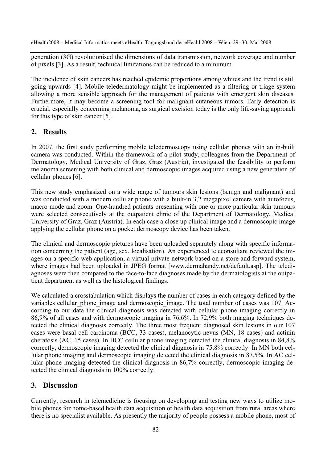eHealth2008 – Medical Informatics meets eHealth. Tagungsband der eHealth2008 – Wien, 29.-30. Mai 2008

generation (3G) revolutionised the dimensions of data transmission, network coverage and number of pixels [3]. As a result, technical limitations can be reduced to a minimum.

The incidence of skin cancers has reached epidemic proportions among whites and the trend is still going upwards [4]. Mobile teledermatology might be implemented as a filtering or triage system allowing a more sensible approach for the management of patients with emergent skin diseases. Furthermore, it may become a screening tool for malignant cutaneous tumors. Early detection is crucial, especially concerning melanoma, as surgical excision today is the only life-saving approach for this type of skin cancer [5].

# **2. Results**

In 2007, the first study performing mobile teledermoscopy using cellular phones with an in-built camera was conducted. Within the framework of a pilot study, colleagues from the Department of Dermatology, Medical University of Graz, Graz (Austria), investigated the feasibility to perform melanoma screening with both clinical and dermoscopic images acquired using a new generation of cellular phones [6].

This new study emphasized on a wide range of tumours skin lesions (benign and malignant) and was conducted with a modern cellular phone with a built-in 3,2 megapixel camera with autofocus, macro mode and zoom. One-hundred patients presenting with one or more particular skin tumours were selected consecutively at the outpatient clinic of the Department of Dermatology, Medical University of Graz, Graz (Austria). In each case a close up clinical image and a dermoscopic image applying the cellular phone on a pocket dermoscopy device has been taken.

The clinical and dermoscopic pictures have been uploaded separately along with specific information concerning the patient (age, sex, localisation). An experienced teleconsultant reviewed the images on a specific web application, a virtual private network based on a store and forward system, where images had been uploaded in JPEG format [www.dermahandy.net/default.asp]. The telediagnoses were then compared to the face-to-face diagnoses made by the dermatologists at the outpatient department as well as the histological findings.

We calculated a crosstabulation which displays the number of cases in each category defined by the variables cellular phone image and dermoscopic image. The total number of cases was 107. According to our data the clinical diagnosis was detected with cellular phone imaging correctly in 86,9% of all cases and with dermoscopic imaging in 76,6%. In 72,9% both imaging techniques detected the clinical diagnosis correctly. The three most frequent diagnosed skin lesions in our 107 cases were basal cell carcinoma (BCC, 33 cases), melanocytic nevus (MN, 18 cases) and actinin cheratosis (AC, 15 cases). In BCC cellular phone imaging detected the clinical diagnosis in 84,8% correctly, dermoscopic imaging detected the clinical diagnosis in 75,8% correctly. In MN both cellular phone imaging and dermoscopic imaging detected the clinical diagnosis in 87,5%. In AC cellular phone imaging detected the clinical diagnosis in 86,7% correctly, dermoscopic imaging detected the clinical diagnosis in 100% correctly.

# **3. Discussion**

Currently, research in telemedicine is focusing on developing and testing new ways to utilize mobile phones for home-based health data acquisition or health data acquisition from rural areas where there is no specialist available. As presently the majority of people possess a mobile phone, most of